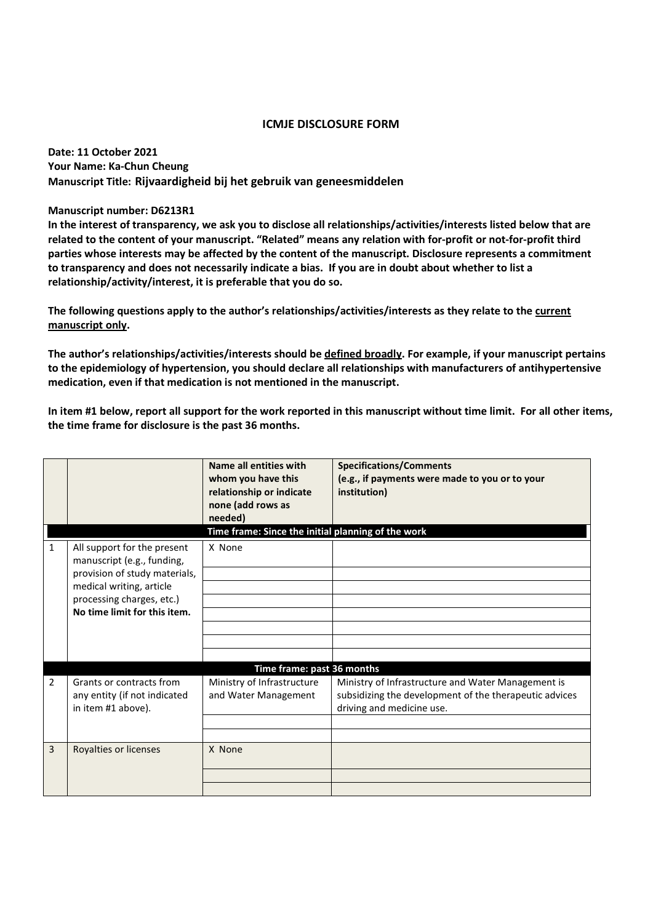## **ICMJE DISCLOSURE FORM**

**Date: 11 October 2021 Your Name: Ka-Chun Cheung Manuscript Title: Rijvaardigheid bij het gebruik van geneesmiddelen**

**Manuscript number: D6213R1** 

**In the interest of transparency, we ask you to disclose all relationships/activities/interests listed below that are related to the content of your manuscript. "Related" means any relation with for-profit or not-for-profit third parties whose interests may be affected by the content of the manuscript. Disclosure represents a commitment to transparency and does not necessarily indicate a bias. If you are in doubt about whether to list a relationship/activity/interest, it is preferable that you do so.** 

**The following questions apply to the author's relationships/activities/interests as they relate to the current manuscript only.** 

**The author's relationships/activities/interests should be defined broadly. For example, if your manuscript pertains to the epidemiology of hypertension, you should declare all relationships with manufacturers of antihypertensive medication, even if that medication is not mentioned in the manuscript.** 

**In item #1 below, report all support for the work reported in this manuscript without time limit. For all other items, the time frame for disclosure is the past 36 months.** 

|                |                                                                                                                                                                                     | Name all entities with<br>whom you have this<br>relationship or indicate<br>none (add rows as<br>needed) | <b>Specifications/Comments</b><br>(e.g., if payments were made to you or to your<br>institution)                                          |  |  |
|----------------|-------------------------------------------------------------------------------------------------------------------------------------------------------------------------------------|----------------------------------------------------------------------------------------------------------|-------------------------------------------------------------------------------------------------------------------------------------------|--|--|
|                | Time frame: Since the initial planning of the work                                                                                                                                  |                                                                                                          |                                                                                                                                           |  |  |
| 1              | All support for the present<br>manuscript (e.g., funding,<br>provision of study materials,<br>medical writing, article<br>processing charges, etc.)<br>No time limit for this item. | X None                                                                                                   |                                                                                                                                           |  |  |
|                |                                                                                                                                                                                     |                                                                                                          |                                                                                                                                           |  |  |
|                |                                                                                                                                                                                     |                                                                                                          |                                                                                                                                           |  |  |
|                |                                                                                                                                                                                     |                                                                                                          |                                                                                                                                           |  |  |
|                |                                                                                                                                                                                     |                                                                                                          |                                                                                                                                           |  |  |
|                |                                                                                                                                                                                     |                                                                                                          |                                                                                                                                           |  |  |
|                |                                                                                                                                                                                     |                                                                                                          |                                                                                                                                           |  |  |
|                | Time frame: past 36 months                                                                                                                                                          |                                                                                                          |                                                                                                                                           |  |  |
| 2              | Grants or contracts from<br>any entity (if not indicated<br>in item #1 above).                                                                                                      | Ministry of Infrastructure<br>and Water Management                                                       | Ministry of Infrastructure and Water Management is<br>subsidizing the development of the therapeutic advices<br>driving and medicine use. |  |  |
|                |                                                                                                                                                                                     |                                                                                                          |                                                                                                                                           |  |  |
|                |                                                                                                                                                                                     |                                                                                                          |                                                                                                                                           |  |  |
| $\overline{3}$ | Royalties or licenses                                                                                                                                                               | X None                                                                                                   |                                                                                                                                           |  |  |
|                |                                                                                                                                                                                     |                                                                                                          |                                                                                                                                           |  |  |
|                |                                                                                                                                                                                     |                                                                                                          |                                                                                                                                           |  |  |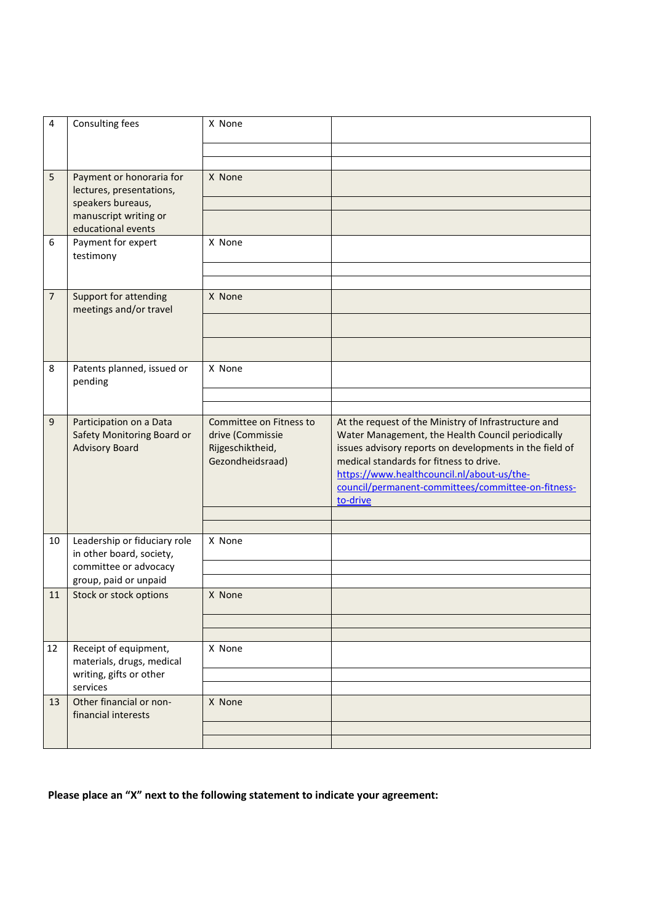| 4              | Consulting fees                                                                           | X None                                                                              |                                                                                                                                                                                                                                                                                                                                 |
|----------------|-------------------------------------------------------------------------------------------|-------------------------------------------------------------------------------------|---------------------------------------------------------------------------------------------------------------------------------------------------------------------------------------------------------------------------------------------------------------------------------------------------------------------------------|
|                |                                                                                           |                                                                                     |                                                                                                                                                                                                                                                                                                                                 |
|                |                                                                                           |                                                                                     |                                                                                                                                                                                                                                                                                                                                 |
| 5              | Payment or honoraria for<br>lectures, presentations,                                      | X None                                                                              |                                                                                                                                                                                                                                                                                                                                 |
|                | speakers bureaus,                                                                         |                                                                                     |                                                                                                                                                                                                                                                                                                                                 |
|                | manuscript writing or<br>educational events                                               |                                                                                     |                                                                                                                                                                                                                                                                                                                                 |
| 6              | Payment for expert<br>testimony                                                           | X None                                                                              |                                                                                                                                                                                                                                                                                                                                 |
|                |                                                                                           |                                                                                     |                                                                                                                                                                                                                                                                                                                                 |
| $\overline{7}$ | Support for attending                                                                     | X None                                                                              |                                                                                                                                                                                                                                                                                                                                 |
|                | meetings and/or travel                                                                    |                                                                                     |                                                                                                                                                                                                                                                                                                                                 |
|                |                                                                                           |                                                                                     |                                                                                                                                                                                                                                                                                                                                 |
| 8              | Patents planned, issued or<br>pending                                                     | X None                                                                              |                                                                                                                                                                                                                                                                                                                                 |
|                |                                                                                           |                                                                                     |                                                                                                                                                                                                                                                                                                                                 |
|                |                                                                                           |                                                                                     |                                                                                                                                                                                                                                                                                                                                 |
| 9              | Participation on a Data<br>Safety Monitoring Board or<br><b>Advisory Board</b>            | Committee on Fitness to<br>drive (Commissie<br>Rijgeschiktheid,<br>Gezondheidsraad) | At the request of the Ministry of Infrastructure and<br>Water Management, the Health Council periodically<br>issues advisory reports on developments in the field of<br>medical standards for fitness to drive.<br>https://www.healthcouncil.nl/about-us/the-<br>council/permanent-committees/committee-on-fitness-<br>to-drive |
|                |                                                                                           |                                                                                     |                                                                                                                                                                                                                                                                                                                                 |
|                |                                                                                           |                                                                                     |                                                                                                                                                                                                                                                                                                                                 |
| 10             | Leadership or fiduciary role<br>in other board, society,                                  | X None                                                                              |                                                                                                                                                                                                                                                                                                                                 |
|                | committee or advocacy<br>group, paid or unpaid                                            |                                                                                     |                                                                                                                                                                                                                                                                                                                                 |
| 11             | Stock or stock options                                                                    | X None                                                                              |                                                                                                                                                                                                                                                                                                                                 |
|                |                                                                                           |                                                                                     |                                                                                                                                                                                                                                                                                                                                 |
|                |                                                                                           |                                                                                     |                                                                                                                                                                                                                                                                                                                                 |
| 12             | Receipt of equipment,<br>materials, drugs, medical<br>writing, gifts or other<br>services | X None                                                                              |                                                                                                                                                                                                                                                                                                                                 |
|                |                                                                                           |                                                                                     |                                                                                                                                                                                                                                                                                                                                 |
| 13             | Other financial or non-<br>financial interests                                            | X None                                                                              |                                                                                                                                                                                                                                                                                                                                 |
|                |                                                                                           |                                                                                     |                                                                                                                                                                                                                                                                                                                                 |
|                |                                                                                           |                                                                                     |                                                                                                                                                                                                                                                                                                                                 |

## **Please place an "X" next to the following statement to indicate your agreement:**